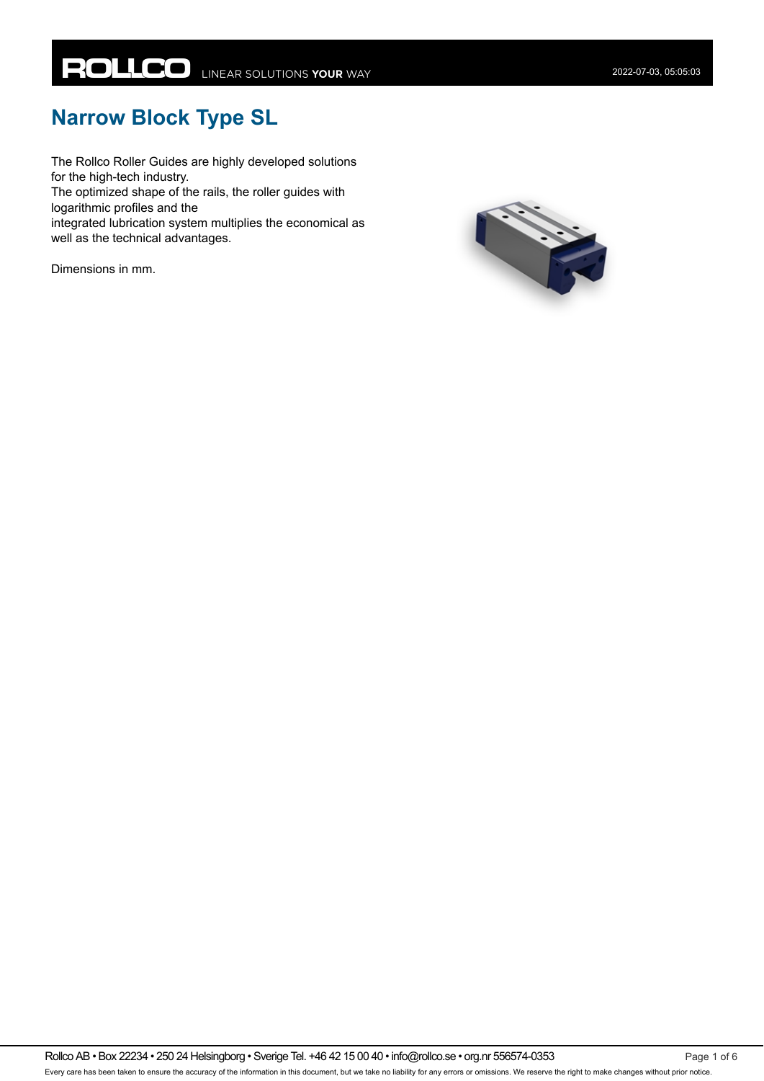# **Narrow Block Type SL**

The Rollco Roller Guides are highly developed solutions for the high-tech industry.

The optimized shape of the rails, the roller guides with logarithmic profiles and the

integrated lubrication system multiplies the economical as well as the technical advantages.

Dimensions in mm.



Rollco AB • Box 22234 • 250 24 Helsingborg • Sverige Tel. +46 42 15 00 40 • info@rollco.se • org.nr 556574-0353 Page 1 of 6 Every care has been taken to ensure the accuracy of the information in this document, but we take no liability for any errors or omissions. We reserve the right to make changes without prior notice.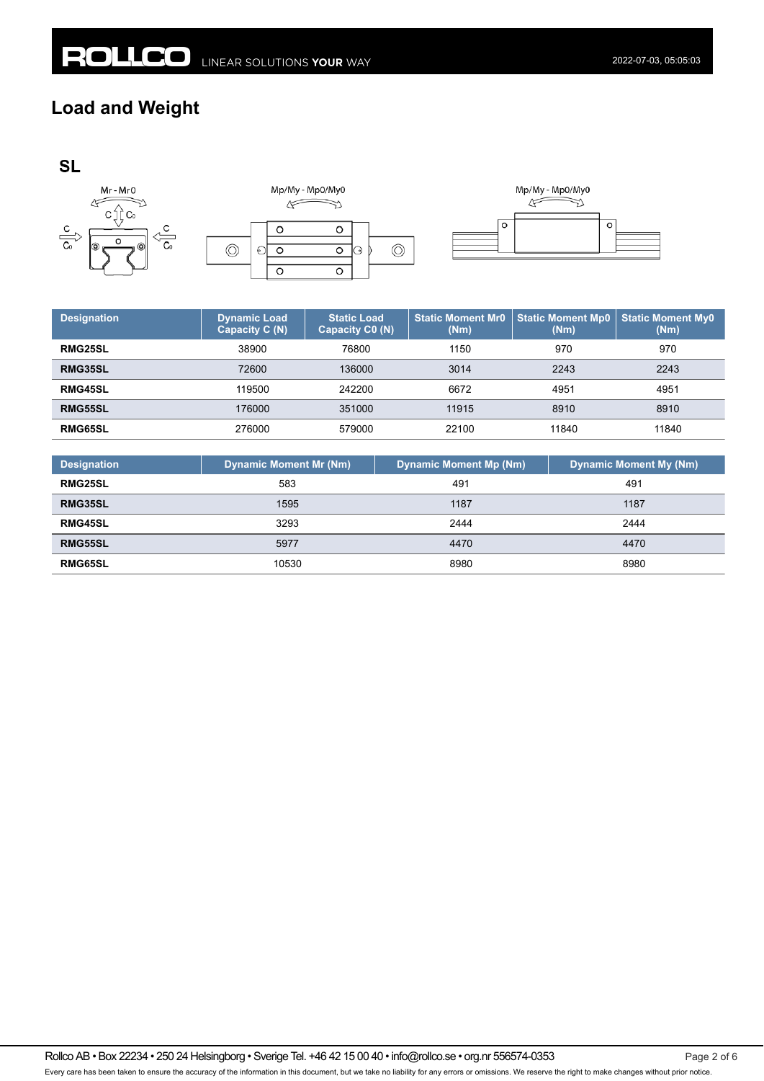## **Load and Weight**





| <b>Designation</b> | <b>Dynamic Load</b><br>Capacity C (N) | <b>Static Load</b><br>Capacity C0 (N) | <b>Static Moment Mr0</b><br>(Nm) | <b>Static Moment Mp0</b><br>(Nm) | <b>Static Moment My0</b><br>(Nm) |
|--------------------|---------------------------------------|---------------------------------------|----------------------------------|----------------------------------|----------------------------------|
| <b>RMG25SL</b>     | 38900                                 | 76800                                 | 1150                             | 970                              | 970                              |
| RMG35SL            | 72600                                 | 136000                                | 3014                             | 2243                             | 2243                             |
| <b>RMG45SL</b>     | 119500                                | 242200                                | 6672                             | 4951                             | 4951                             |
| <b>RMG55SL</b>     | 176000                                | 351000                                | 11915                            | 8910                             | 8910                             |
| RMG65SL            | 276000                                | 579000                                | 22100                            | 11840                            | 11840                            |

| <b>Designation</b> | <b>Dynamic Moment Mr (Nm)</b> | <b>Dynamic Moment Mp (Nm)</b> | <b>Dynamic Moment My (Nm)</b> |
|--------------------|-------------------------------|-------------------------------|-------------------------------|
| <b>RMG25SL</b>     | 583                           | 491                           | 491                           |
| <b>RMG35SL</b>     | 1595                          | 1187                          | 1187                          |
| <b>RMG45SL</b>     | 3293                          | 2444                          | 2444                          |
| <b>RMG55SL</b>     | 5977                          | 4470                          | 4470                          |
| <b>RMG65SL</b>     | 10530                         | 8980                          | 8980                          |

Rollco AB • Box 22234 • 250 24 Helsingborg • Sverige Tel. +46 42 15 00 40 • info@rollco.se • org.nr 556574-0353 Page 2 of 6 Every care has been taken to ensure the accuracy of the information in this document, but we take no liability for any errors or omissions. We reserve the right to make changes without prior notice.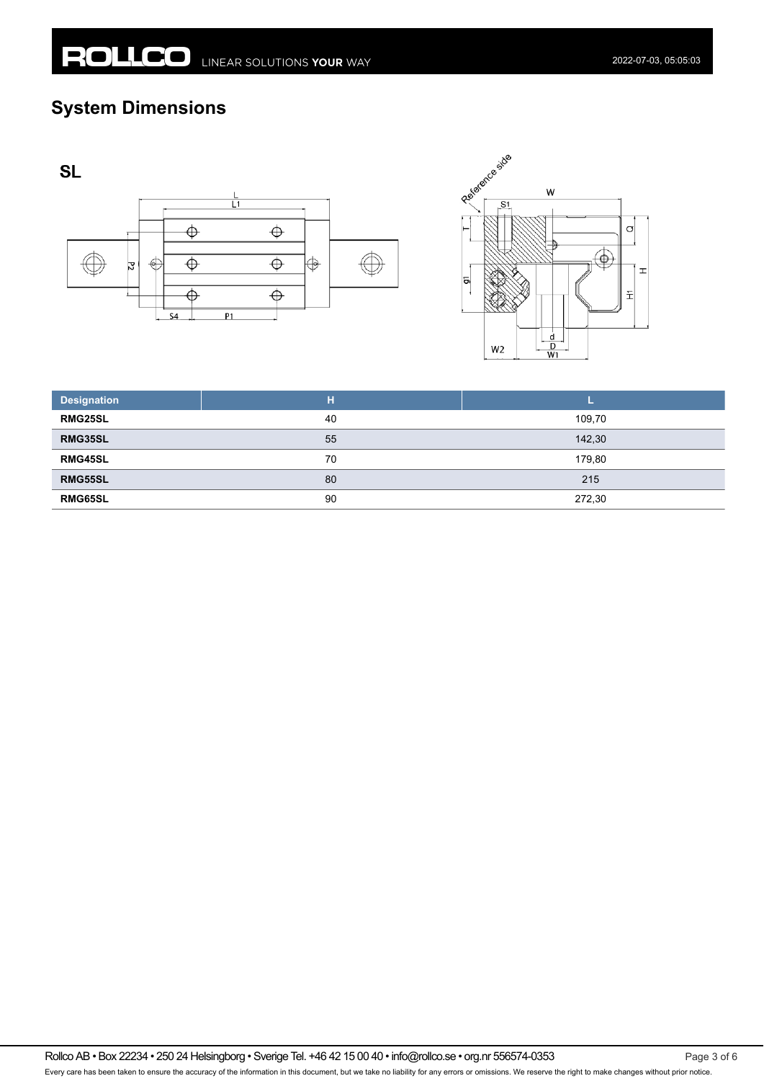## **System Dimensions**







| <b>Designation</b> | н  |        |
|--------------------|----|--------|
| <b>RMG25SL</b>     | 40 | 109,70 |
| RMG35SL            | 55 | 142,30 |
| <b>RMG45SL</b>     | 70 | 179,80 |
| <b>RMG55SL</b>     | 80 | 215    |
| <b>RMG65SL</b>     | 90 | 272,30 |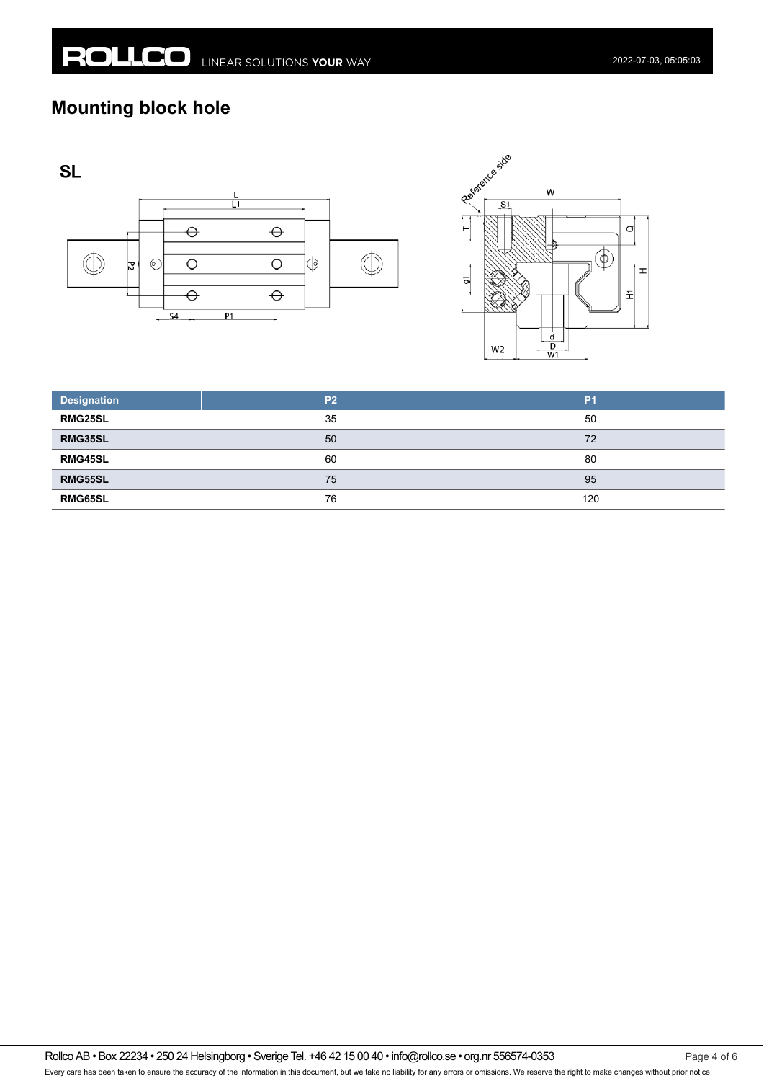## **Mounting block hole**







| <b>Designation</b> | P <sub>2</sub> | P <sub>1</sub> |
|--------------------|----------------|----------------|
| <b>RMG25SL</b>     | 35             | 50             |
| RMG35SL            | 50             | 72             |
| RMG45SL            | 60             | 80             |
| RMG55SL            | 75             | 95             |
| <b>RMG65SL</b>     | 76             | 120            |

Rollco AB • Box 22234 • 250 24 Helsingborg • Sverige Tel. +46 42 15 00 40 • info@rollco.se • org.nr 556574-0353 Every care has been taken to ensure the accuracy of the information in this document, but we take no liability for any errors or omissions. We reserve the right to make changes without prior notice.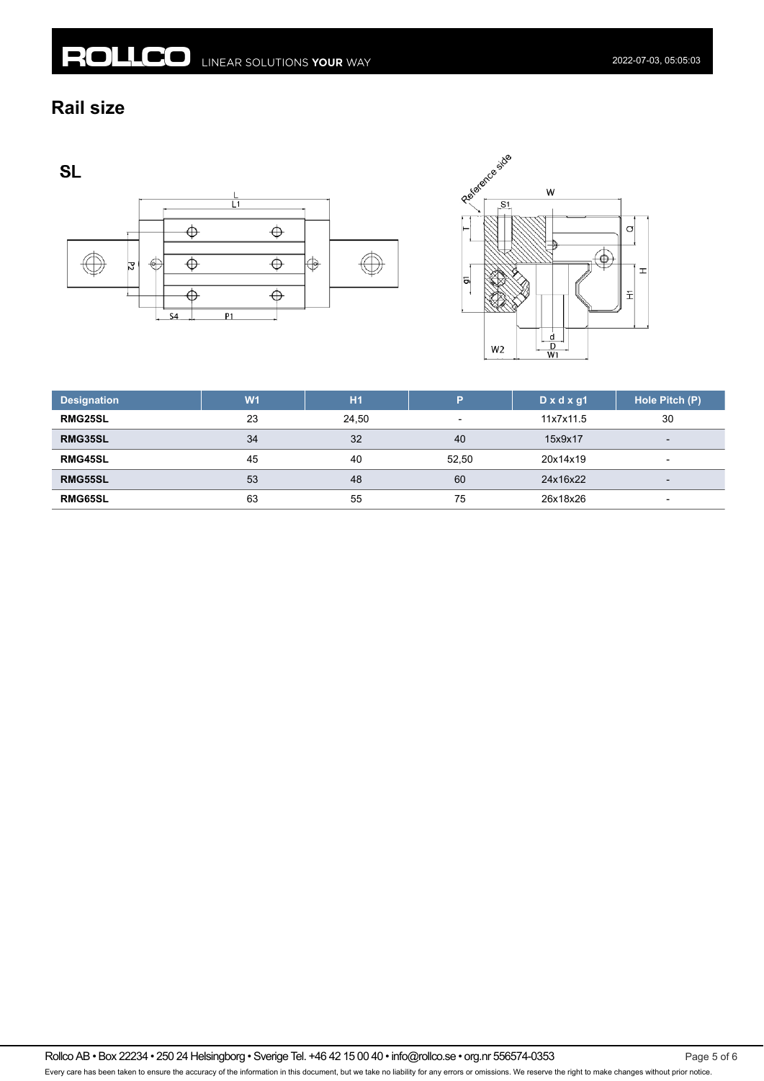#### **Rail size**

**SL** 





| <b>Designation</b> | W <sub>1</sub> | H1    | Þ                        | $D \times d \times gl$ | Hole Pitch (P)           |
|--------------------|----------------|-------|--------------------------|------------------------|--------------------------|
| <b>RMG25SL</b>     | 23             | 24.50 | $\overline{\phantom{0}}$ | 11x7x11.5              | 30                       |
| RMG35SL            | 34             | 32    | 40                       | 15x9x17                | $\overline{\phantom{0}}$ |
| <b>RMG45SL</b>     | 45             | 40    | 52.50                    | 20x14x19               | $\overline{\phantom{a}}$ |
| RMG55SL            | 53             | 48    | 60                       | 24x16x22               | $\overline{\phantom{0}}$ |
| <b>RMG65SL</b>     | 63             | 55    | 75                       | 26x18x26               | $\overline{\phantom{0}}$ |